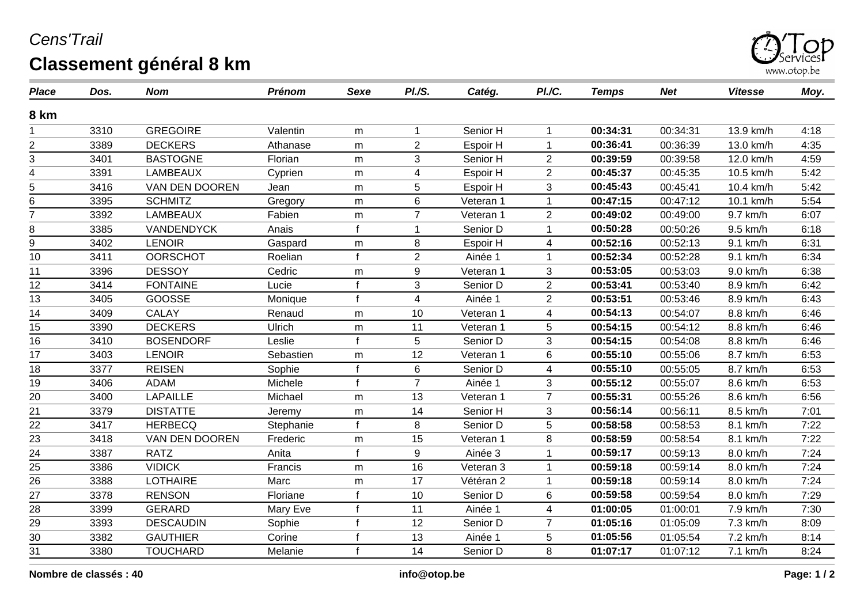## *Cens'Trail* **Classement général 8 km**



| <b>Place</b>    | Dos. | <b>Nom</b>        | <b>Prénom</b> | <b>Sexe</b>  | PI.S.          | Catég.    | PI./C.         | <b>Temps</b> | <b>Net</b> | <b>Vitesse</b> | Moy. |
|-----------------|------|-------------------|---------------|--------------|----------------|-----------|----------------|--------------|------------|----------------|------|
| 8 km            |      |                   |               |              |                |           |                |              |            |                |      |
|                 | 3310 | <b>GREGOIRE</b>   | Valentin      | m            | 1              | Senior H  | 1              | 00:34:31     | 00:34:31   | 13.9 km/h      | 4:18 |
| 2               | 3389 | <b>DECKERS</b>    | Athanase      | m            | $\overline{c}$ | Espoir H  | 1              | 00:36:41     | 00:36:39   | 13.0 km/h      | 4:35 |
| 3               | 3401 | <b>BASTOGNE</b>   | Florian       | m            | 3              | Senior H  | $\overline{2}$ | 00:39:59     | 00:39:58   | 12.0 km/h      | 4:59 |
| 4               | 3391 | <b>LAMBEAUX</b>   | Cyprien       | m            | 4              | Espoir H  | $\overline{2}$ | 00:45:37     | 00:45:35   | 10.5 km/h      | 5:42 |
| 5               | 3416 | VAN DEN DOOREN    | Jean          | m            | 5              | Espoir H  | 3              | 00:45:43     | 00:45:41   | 10.4 km/h      | 5:42 |
| 6               | 3395 | <b>SCHMITZ</b>    | Gregory       | m            | 6              | Veteran 1 | 1              | 00:47:15     | 00:47:12   | 10.1 km/h      | 5:54 |
| $\overline{7}$  | 3392 | <b>LAMBEAUX</b>   | Fabien        | m            | $\overline{7}$ | Veteran 1 | $\overline{2}$ | 00:49:02     | 00:49:00   | 9.7 km/h       | 6:07 |
| 8               | 3385 | <b>VANDENDYCK</b> | Anais         | f            |                | Senior D  | 1              | 00:50:28     | 00:50:26   | 9.5 km/h       | 6:18 |
| $\overline{9}$  | 3402 | <b>LENOIR</b>     | Gaspard       | m            | 8              | Espoir H  | 4              | 00:52:16     | 00:52:13   | 9.1 km/h       | 6:31 |
| 10              | 3411 | <b>OORSCHOT</b>   | Roelian       |              | $\overline{c}$ | Ainée 1   | 1              | 00:52:34     | 00:52:28   | 9.1 km/h       | 6:34 |
| 11              | 3396 | <b>DESSOY</b>     | Cedric        | m            | 9              | Veteran 1 | 3              | 00:53:05     | 00:53:03   | 9.0 km/h       | 6:38 |
| 12              | 3414 | <b>FONTAINE</b>   | Lucie         | $\mathbf f$  | 3              | Senior D  | $\overline{2}$ | 00:53:41     | 00:53:40   | 8.9 km/h       | 6:42 |
| 13              | 3405 | GOOSSE            | Monique       | $\mathbf f$  | 4              | Ainée 1   | $\overline{2}$ | 00:53:51     | 00:53:46   | 8.9 km/h       | 6:43 |
| 14              | 3409 | <b>CALAY</b>      | Renaud        | m            | 10             | Veteran 1 | 4              | 00:54:13     | 00:54:07   | 8.8 km/h       | 6:46 |
| 15              | 3390 | <b>DECKERS</b>    | Ulrich        | m            | 11             | Veteran 1 | 5              | 00:54:15     | 00:54:12   | 8.8 km/h       | 6:46 |
| 16              | 3410 | <b>BOSENDORF</b>  | Leslie        | f            | 5              | Senior D  | 3              | 00:54:15     | 00:54:08   | 8.8 km/h       | 6:46 |
| 17              | 3403 | <b>LENOIR</b>     | Sebastien     | m            | 12             | Veteran 1 | 6              | 00:55:10     | 00:55:06   | 8.7 km/h       | 6:53 |
| 18              | 3377 | <b>REISEN</b>     | Sophie        | $\mathbf f$  | 6              | Senior D  | 4              | 00:55:10     | 00:55:05   | 8.7 km/h       | 6:53 |
| 19              | 3406 | <b>ADAM</b>       | Michele       | $\mathbf f$  | $\overline{7}$ | Ainée 1   | 3              | 00:55:12     | 00:55:07   | 8.6 km/h       | 6:53 |
| $20\,$          | 3400 | <b>LAPAILLE</b>   | Michael       | m            | 13             | Veteran 1 | $\overline{7}$ | 00:55:31     | 00:55:26   | 8.6 km/h       | 6:56 |
| $\overline{21}$ | 3379 | <b>DISTATTE</b>   | Jeremy        | m            | 14             | Senior H  | 3              | 00:56:14     | 00:56:11   | 8.5 km/h       | 7:01 |
| 22              | 3417 | <b>HERBECQ</b>    | Stephanie     | f            | 8              | Senior D  | 5              | 00:58:58     | 00:58:53   | 8.1 km/h       | 7:22 |
| 23              | 3418 | VAN DEN DOOREN    | Frederic      | m            | 15             | Veteran 1 | 8              | 00:58:59     | 00:58:54   | 8.1 km/h       | 7:22 |
| $\overline{24}$ | 3387 | <b>RATZ</b>       | Anita         |              | 9              | Ainée 3   | 1              | 00:59:17     | 00:59:13   | 8.0 km/h       | 7:24 |
| 25              | 3386 | <b>VIDICK</b>     | Francis       | m            | 16             | Veteran 3 | 1              | 00:59:18     | 00:59:14   | 8.0 km/h       | 7:24 |
| 26              | 3388 | <b>LOTHAIRE</b>   | Marc          | m            | 17             | Vétéran 2 | 1              | 00:59:18     | 00:59:14   | 8.0 km/h       | 7:24 |
| 27              | 3378 | <b>RENSON</b>     | Floriane      |              | 10             | Senior D  | 6              | 00:59:58     | 00:59:54   | 8.0 km/h       | 7:29 |
|                 | 3399 | <b>GERARD</b>     | Mary Eve      | $\mathbf{f}$ | 11             | Ainée 1   | 4              | 01:00:05     | 01:00:01   | 7.9 km/h       | 7:30 |
| $\frac{28}{29}$ | 3393 | <b>DESCAUDIN</b>  | Sophie        |              | 12             | Senior D  | $\overline{7}$ | 01:05:16     | 01:05:09   | 7.3 km/h       | 8:09 |
| 30              | 3382 | <b>GAUTHIER</b>   | Corine        | f            | 13             | Ainée 1   | 5              | 01:05:56     | 01:05:54   | 7.2 km/h       | 8:14 |
| $\overline{31}$ | 3380 | <b>TOUCHARD</b>   | Melanie       | $\mathbf f$  | 14             | Senior D  | 8              | 01:07:17     | 01:07:12   | 7.1 km/h       | 8:24 |